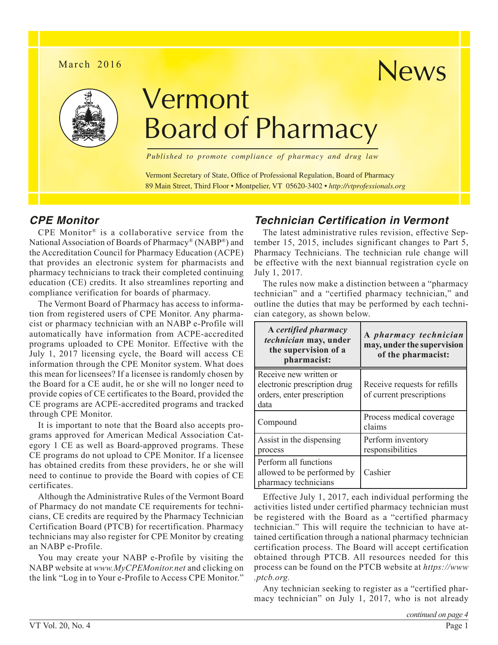### March 2016



# Vermont Board of Pharmacy

*Published to promote compliance of pharmacy and drug law*

Vermont Secretary of State, Office of Professional Regulation, Board of Pharmacy 89 Main Street, Third Floor • Montpelier, VT 05620-3402 • *<http://vtprofessionals.org>*

## *CPE Monitor*

CPE Monitor® is a collaborative service from the National Association of Boards of Pharmacy® (NABP®) and the Accreditation Council for Pharmacy Education (ACPE) that provides an electronic system for pharmacists and pharmacy technicians to track their completed continuing education (CE) credits. It also streamlines reporting and compliance verification for boards of pharmacy.

The Vermont Board of Pharmacy has access to information from registered users of CPE Monitor. Any pharmacist or pharmacy technician with an NABP e-Profile will automatically have information from ACPE-accredited programs uploaded to CPE Monitor. Effective with the July 1, 2017 licensing cycle, the Board will access CE information through the CPE Monitor system. What does this mean for licensees? If a licensee is randomly chosen by the Board for a CE audit, he or she will no longer need to provide copies of CE certificates to the Board, provided the CE programs are ACPE-accredited programs and tracked through CPE Monitor.

It is important to note that the Board also accepts programs approved for American Medical Association Category 1 CE as well as Board-approved programs. These CE programs do not upload to CPE Monitor. If a licensee has obtained credits from these providers, he or she will need to continue to provide the Board with copies of CE certificates.

Although the Administrative Rules of the Vermont Board of Pharmacy do not mandate CE requirements for technicians, CE credits are required by the Pharmacy Technician Certification Board (PTCB) for recertification. Pharmacy technicians may also register for CPE Monitor by creating an NABP e-Profile.

You may create your NABP e-Profile by visiting the NABP website at *[www.MyCPEMonitor.net](http://www.MyCPEMonitor.net)* and clicking on the link "Log in to Your e-Profile to Access CPE Monitor."

# *Technician Certification in Vermont*

The latest administrative rules revision, effective September 15, 2015, includes significant changes to Part 5, Pharmacy Technicians. The technician rule change will be effective with the next biannual registration cycle on July 1, 2017.

News

The rules now make a distinction between a "pharmacy technician" and a "certified pharmacy technician," and outline the duties that may be performed by each technician category, as shown below.

| A certified pharmacy<br>technician may, under<br>the supervision of a<br>pharmacist:         | A pharmacy technician<br>may, under the supervision<br>of the pharmacist: |
|----------------------------------------------------------------------------------------------|---------------------------------------------------------------------------|
| Receive new written or<br>electronic prescription drug<br>orders, enter prescription<br>data | Receive requests for refills<br>of current prescriptions                  |
| Compound                                                                                     | Process medical coverage<br>claims                                        |
| Assist in the dispensing<br>process                                                          | Perform inventory<br>responsibilities                                     |
| Perform all functions<br>allowed to be performed by<br>pharmacy technicians                  | Cashier                                                                   |

Effective July 1, 2017, each individual performing the activities listed under certified pharmacy technician must be registered with the Board as a "certified pharmacy technician." This will require the technician to have attained certification through a national pharmacy technician certification process. The Board will accept certification obtained through PTCB. All resources needed for this process can be found on the PTCB website at *[https://www](https://www.ptcb.org) [.ptcb.org.](https://www.ptcb.org)*

Any technician seeking to register as a "certified pharmacy technician" on July 1, 2017, who is not already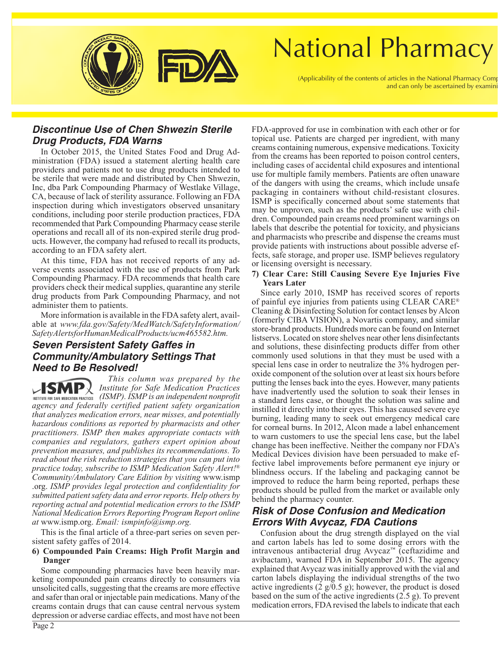

# **National Pharmacy**

(Applicability of the contents of articles in the National Pharmacy Comp and can only be ascertained by examini

### *Discontinue Use of Chen Shwezin Sterile Drug Products, FDA Warns*

In October 2015, the United States Food and Drug Administration (FDA) issued a statement alerting health care providers and patients not to use drug products intended to be sterile that were made and distributed by Chen Shwezin, Inc, dba Park Compounding Pharmacy of Westlake Village, CA, because of lack of sterility assurance. Following an FDA inspection during which investigators observed unsanitary conditions, including poor sterile production practices, FDA recommended that Park Compounding Pharmacy cease sterile operations and recall all of its non-expired sterile drug products. However, the company had refused to recall its products, according to an FDA safety alert.

At this time, FDA has not received reports of any adverse events associated with the use of products from Park Compounding Pharmacy. FDA recommends that health care providers check their medical supplies, quarantine any sterile drug products from Park Compounding Pharmacy, and not administer them to patients.

More information is available in the FDA safety alert, available at *[www.fda.gov/Safety/MedWatch/SafetyInformation/](http://www.fda.gov/Safety/MedWatch/SafetyInformation/SafetyAlertsforHumanMedicalProducts/ucm465582.htm) [SafetyAlertsforHumanMedicalProducts/ucm465582.htm.](http://www.fda.gov/Safety/MedWatch/SafetyInformation/SafetyAlertsforHumanMedicalProducts/ucm465582.htm)*

### *Seven Persistent Safety Gaffes in Community/Ambulatory Settings That Need to Be Resolved!*

*This column was prepared by the*  **SMP** $\downarrow$  *Institute for Safe Medication Practices* 

*INSTITUTE FOR SAFE MEDICATION PRACTICES (ISMP). ISMP is an independent nonprofit agency and federally certified patient safety organization that analyzes medication errors, near misses, and potentially hazardous conditions as reported by pharmacists and other practitioners. ISMP then makes appropriate contacts with companies and regulators, gathers expert opinion about prevention measures, and publishes its recommendations. To read about the risk reduction strategies that you can put into practice today, subscribe to ISMP Medication Safety Alert!® Community/Ambulatory Care Edition by visiting* [www.ismp](www.ismp.org) [.org](www.ismp.org). *ISMP provides legal protection and confidentiality for submitted patient safety data and error reports. Help others by reporting actual and potential medication errors to the ISMP National Medication Errors Reporting Program Report online at* [www.ismp.org](http://www.ismp.org). *Email: [ismpinfo@ismp.org.](mailto:ismpinfo@ismp.org)*

This is the final article of a three-part series on seven persistent safety gaffes of 2014.

#### **6) Compounded Pain Creams: High Profit Margin and Danger**

Some compounding pharmacies have been heavily marketing compounded pain creams directly to consumers via unsolicited calls, suggesting that the creams are more effective and safer than oral or injectable pain medications. Many of the creams contain drugs that can cause central nervous system depression or adverse cardiac effects, and most have not been

FDA-approved for use in combination with each other or for topical use. Patients are charged per ingredient, with many creams containing numerous, expensive medications. Toxicity from the creams has been reported to poison control centers, including cases of accidental child exposures and intentional use for multiple family members. Patients are often unaware of the dangers with using the creams, which include unsafe packaging in containers without child-resistant closures. ISMP is specifically concerned about some statements that may be unproven, such as the products' safe use with children. Compounded pain creams need prominent warnings on labels that describe the potential for toxicity, and physicians and pharmacists who prescribe and dispense the creams must provide patients with instructions about possible adverse effects, safe storage, and proper use. ISMP believes regulatory or licensing oversight is necessary.

#### **7) Clear Care: Still Causing Severe Eye Injuries Five Years Later**

Since early 2010, ISMP has received scores of reports of painful eye injuries from patients using CLEAR CARE® Cleaning & Disinfecting Solution for contact lenses by Alcon (formerly CIBA VISION), a Novartis company, and similar store-brand products. Hundreds more can be found on Internet listservs. Located on store shelves near other lens disinfectants and solutions, these disinfecting products differ from other commonly used solutions in that they must be used with a special lens case in order to neutralize the 3% hydrogen peroxide component of the solution over at least six hours before putting the lenses back into the eyes. However, many patients have inadvertently used the solution to soak their lenses in a standard lens case, or thought the solution was saline and instilled it directly into their eyes. This has caused severe eye burning, leading many to seek out emergency medical care for corneal burns. In 2012, Alcon made a label enhancement to warn customers to use the special lens case, but the label change has been ineffective. Neither the company nor FDA's Medical Devices division have been persuaded to make effective label improvements before permanent eye injury or blindness occurs. If the labeling and packaging cannot be improved to reduce the harm being reported, perhaps these products should be pulled from the market or available only behind the pharmacy counter.

### *Risk of Dose Confusion and Medication Errors With Avycaz, FDA Cautions*

Confusion about the drug strength displayed on the vial and carton labels has led to some dosing errors with the intravenous antibacterial drug Avycaz™ (ceftazidime and avibactam), warned FDA in September 2015. The agency explained that Avycaz was initially approved with the vial and carton labels displaying the individual strengths of the two active ingredients  $(2 \frac{g}{0.5 g})$ ; however, the product is dosed based on the sum of the active ingredients (2.5 g). To prevent medication errors, FDA revised the labels to indicate that each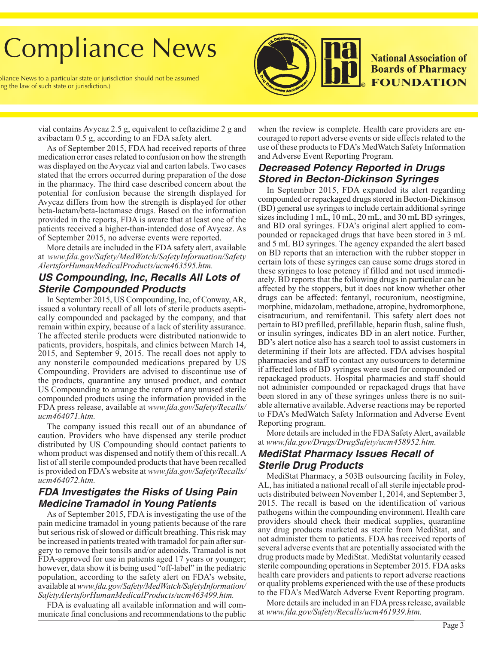# **Compliance News**

bliance News to a particular state or jurisdiction should not be assumed ng the law of such state or jurisdiction.)



**National Association of Boards of Pharmacy FOUNDATION** 

vial contains Avycaz 2.5 g, equivalent to ceftazidime 2 g and avibactam 0.5 g, according to an FDA safety alert.

As of September 2015, FDA had received reports of three medication error cases related to confusion on how the strength was displayed on the Avycaz vial and carton labels. Two cases stated that the errors occurred during preparation of the dose in the pharmacy. The third case described concern about the potential for confusion because the strength displayed for Avycaz differs from how the strength is displayed for other beta-lactam/beta-lactamase drugs. Based on the information provided in the reports, FDA is aware that at least one of the patients received a higher-than-intended dose of Avycaz. As of September 2015, no adverse events were reported.

More details are included in the FDA safety alert, available at *[www.fda.gov/Safety/MedWatch/SafetyInformation/Safety](http://www.fda.gov/Safety/MedWatch/SafetyInformation/SafetyAlertsforHumanMedicalProducts/ucm463595.htm) [AlertsforHumanMedicalProducts/ucm463595.htm](http://www.fda.gov/Safety/MedWatch/SafetyInformation/SafetyAlertsforHumanMedicalProducts/ucm463595.htm).*

## *US Compounding, Inc, Recalls All Lots of Sterile Compounded Products*

In September 2015, US Compounding, Inc, of Conway, AR, issued a voluntary recall of all lots of sterile products aseptically compounded and packaged by the company, and that remain within expiry, because of a lack of sterility assurance. The affected sterile products were distributed nationwide to patients, providers, hospitals, and clinics between March 14, 2015, and September 9, 2015. The recall does not apply to any nonsterile compounded medications prepared by US Compounding. Providers are advised to discontinue use of the products, quarantine any unused product, and contact US Compounding to arrange the return of any unused sterile compounded products using the information provided in the FDA press release, available at *[www.fda.gov/Safety/Recalls/](http://www.fda.gov/Safety/Recalls/ucm464071.htm) [ucm464071.htm.](http://www.fda.gov/Safety/Recalls/ucm464071.htm)*

The company issued this recall out of an abundance of caution. Providers who have dispensed any sterile product distributed by US Compounding should contact patients to whom product was dispensed and notify them of this recall. A list of all sterile compounded products that have been recalled is provided on FDA's website at *[www.fda.gov/Safety/Recalls/](http://www.fda.gov/Safety/Recalls/ucm464072.htm) [ucm464072.htm](http://www.fda.gov/Safety/Recalls/ucm464072.htm).*

## *FDA Investigates the Risks of Using Pain Medicine Tramadol in Young Patients*

As of September 2015, FDA is investigating the use of the pain medicine tramadol in young patients because of the rare but serious risk of slowed or difficult breathing. This risk may be increased in patients treated with tramadol for pain after surgery to remove their tonsils and/or adenoids. Tramadol is not FDA-approved for use in patients aged 17 years or younger; however, data show it is being used "off-label" in the pediatric population, according to the safety alert on FDA's website, available at *[www.fda.gov/Safety/MedWatch/SafetyInformation/](http://www.fda.gov/Safety/MedWatch/SafetyInformation/SafetyAlertsforHumanMedicalProducts/ucm463499.htm) [SafetyAlertsforHumanMedicalProducts/ucm463499.htm](http://www.fda.gov/Safety/MedWatch/SafetyInformation/SafetyAlertsforHumanMedicalProducts/ucm463499.htm).*

FDA is evaluating all available information and will communicate final conclusions and recommendations to the public

when the review is complete. Health care providers are encouraged to report adverse events or side effects related to the use of these products to FDA's MedWatch Safety Information and Adverse Event Reporting Program.

### *Decreased Potency Reported in Drugs Stored in Becton-Dickinson Syringes*

In September 2015, FDA expanded its alert regarding compounded or repackaged drugs stored in Becton-Dickinson (BD) general use syringes to include certain additional syringe sizes including 1 mL, 10 mL, 20 mL, and 30 mL BD syringes, and BD oral syringes. FDA's original alert applied to compounded or repackaged drugs that have been stored in 3 mL and 5 mL BD syringes. The agency expanded the alert based on BD reports that an interaction with the rubber stopper in certain lots of these syringes can cause some drugs stored in these syringes to lose potency if filled and not used immediately. BD reports that the following drugs in particular can be affected by the stoppers, but it does not know whether other drugs can be affected: fentanyl, rocuronium, neostigmine, morphine, midazolam, methadone, atropine, hydromorphone, cisatracurium, and remifentanil. This safety alert does not pertain to BD prefilled, prefillable, heparin flush, saline flush, or insulin syringes, indicates BD in an alert notice. Further, BD's alert notice also has a search tool to assist customers in determining if their lots are affected. FDA advises hospital pharmacies and staff to contact any outsourcers to determine if affected lots of BD syringes were used for compounded or repackaged products. Hospital pharmacies and staff should not administer compounded or repackaged drugs that have been stored in any of these syringes unless there is no suitable alternative available. Adverse reactions may be reported to FDA's MedWatch Safety Information and Adverse Event Reporting program.

More details are included in the FDA Safety Alert, available at *[www.fda.gov/Drugs/DrugSafety/ucm458952.htm](http://www.fda.gov/Drugs/DrugSafety/ucm458952.htm).*

### *MediStat Pharmacy Issues Recall of Sterile Drug Products*

MediStat Pharmacy, a 503B outsourcing facility in Foley, AL, has initiated a national recall of all sterile injectable products distributed between November 1, 2014, and September 3, 2015. The recall is based on the identification of various pathogens within the compounding environment. Health care providers should check their medical supplies, quarantine any drug products marketed as sterile from MediStat, and not administer them to patients. FDA has received reports of several adverse events that are potentially associated with the drug products made by MediStat. MediStat voluntarily ceased sterile compounding operations in September 2015. FDA asks health care providers and patients to report adverse reactions or quality problems experienced with the use of these products to the FDA's MedWatch Adverse Event Reporting program.

More details are included in an FDA press release, available at *[www.fda.gov/Safety/Recalls/ucm461939.htm.](http://www.fda.gov/Safety/Recalls/ucm461939.htm)*